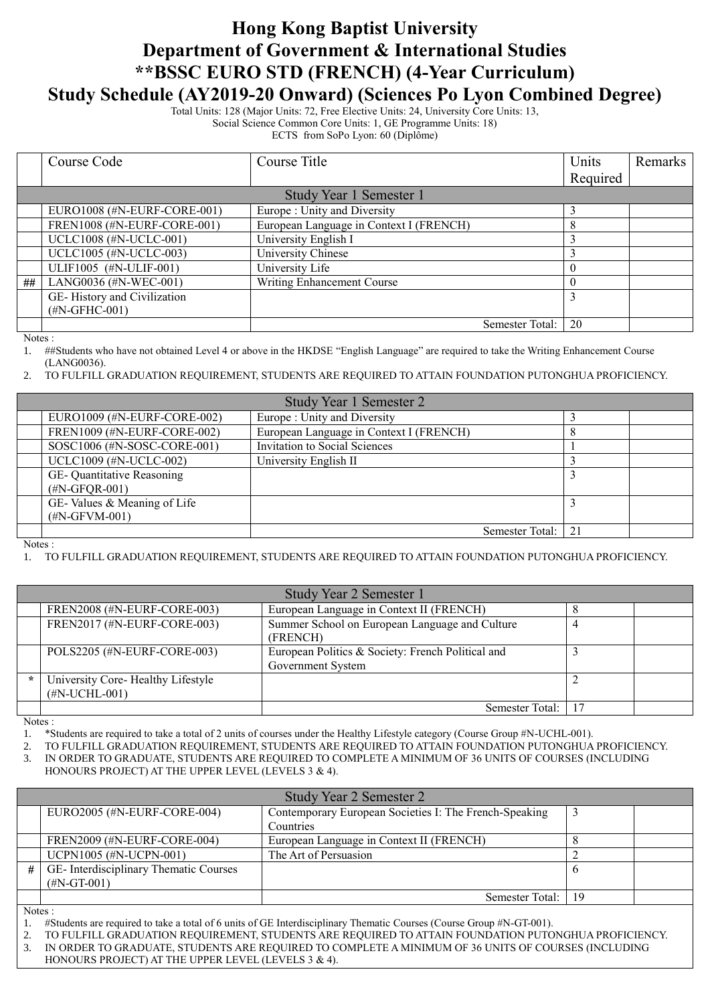## **Hong Kong Baptist University Department of Government & International Studies \*\*BSSC EURO STD (FRENCH) (4-Year Curriculum) Study Schedule (AY2019-20 Onward) (Sciences Po Lyon Combined Degree)**

Total Units: 128 (Major Units: 72, Free Elective Units: 24, University Core Units: 13, Social Science Common Core Units: 1, GE Programme Units: 18)

ECTS from SoPo Lyon: 60 (Diplôme)

|                         | Course Code                 | Course Title                            | Units    | Remarks |
|-------------------------|-----------------------------|-----------------------------------------|----------|---------|
|                         |                             |                                         | Required |         |
| Study Year 1 Semester 1 |                             |                                         |          |         |
|                         | EURO1008 (#N-EURF-CORE-001) | Europe: Unity and Diversity             |          |         |
|                         | FREN1008 (#N-EURF-CORE-001) | European Language in Context I (FRENCH) |          |         |
|                         | UCLC1008 (#N-UCLC-001)      | University English I                    |          |         |
|                         | UCLC1005 (#N-UCLC-003)      | University Chinese                      |          |         |
|                         | ULIF1005 (#N-ULIF-001)      | University Life                         |          |         |
| ##                      | LANG0036 (#N-WEC-001)       | Writing Enhancement Course              |          |         |
|                         | GE-History and Civilization |                                         |          |         |
|                         | $(\text{\#N-GFHC-001})$     |                                         |          |         |
|                         |                             | Semester Total:                         | 20       |         |

Notes :

1. ##Students who have not obtained Level 4 or above in the HKDSE "English Language" are required to take the Writing Enhancement Course (LANG0036).

2. TO FULFILL GRADUATION REQUIREMENT, STUDENTS ARE REQUIRED TO ATTAIN FOUNDATION PUTONGHUA PROFICIENCY.

| Study Year 1 Semester 2         |                                         |     |  |
|---------------------------------|-----------------------------------------|-----|--|
| EURO1009 $(\#N$ -EURF-CORE-002) | Europe: Unity and Diversity             |     |  |
| FREN1009 (#N-EURF-CORE-002)     | European Language in Context I (FRENCH) |     |  |
| SOSC1006 (#N-SOSC-CORE-001)     | Invitation to Social Sciences           |     |  |
| UCLC1009 (#N-UCLC-002)          | University English II                   |     |  |
| GE- Quantitative Reasoning      |                                         |     |  |
| $(\text{\#N-GFQR-001})$         |                                         |     |  |
| GE-Values & Meaning of Life     |                                         |     |  |
| $(HN-GFVM-001)$                 |                                         |     |  |
|                                 | Semester Total:                         | -21 |  |

Notes :

1. TO FULFILL GRADUATION REQUIREMENT, STUDENTS ARE REQUIRED TO ATTAIN FOUNDATION PUTONGHUA PROFICIENCY.

|         | Study Year 2 Semester 1                              |                                                                        |  |  |
|---------|------------------------------------------------------|------------------------------------------------------------------------|--|--|
|         | FREN2008 (#N-EURF-CORE-003)                          | European Language in Context II (FRENCH)                               |  |  |
|         | FREN2017 (#N-EURF-CORE-003)                          | Summer School on European Language and Culture<br>(FRENCH)             |  |  |
|         | POLS2205 (#N-EURF-CORE-003)                          | European Politics & Society: French Political and<br>Government System |  |  |
| $\star$ | University Core-Healthy Lifestyle<br>$(HN-UCHL-001)$ |                                                                        |  |  |
|         |                                                      | Semester Total:                                                        |  |  |

Notes :

1. \*Students are required to take a total of 2 units of courses under the Healthy Lifestyle category (Course Group #N-UCHL-001).

2. TO FULFILL GRADUATION REQUIREMENT, STUDENTS ARE REQUIRED TO ATTAIN FOUNDATION PUTONGHUA PROFICIENCY. 3. IN ORDER TO GRADUATE, STUDENTS ARE REQUIRED TO COMPLETE A MINIMUM OF 36 UNITS OF COURSES (INCLUDING

HONOURS PROJECT) AT THE UPPER LEVEL (LEVELS 3 & 4).

|               | Study Year 2 Semester 2               |                                                        |     |  |
|---------------|---------------------------------------|--------------------------------------------------------|-----|--|
|               | EURO2005 (#N-EURF-CORE-004)           | Contemporary European Societies I: The French-Speaking |     |  |
|               |                                       | Countries                                              |     |  |
|               | FREN2009 (#N-EURF-CORE-004)           | European Language in Context II (FRENCH)               |     |  |
|               | UCPN1005 (#N-UCPN-001)                | The Art of Persuasion                                  |     |  |
| #             | GE-Interdisciplinary Thematic Courses |                                                        |     |  |
|               | $(HN-GT-001)$                         |                                                        |     |  |
|               |                                       | Semester Total:                                        | -19 |  |
| $\sim$ $\sim$ |                                       |                                                        |     |  |

Notes :

1. #Students are required to take a total of 6 units of GE Interdisciplinary Thematic Courses (Course Group #N-GT-001).

2. TO FULFILL GRADUATION REQUIREMENT, STUDENTS ARE REQUIRED TO ATTAIN FOUNDATION PUTONGHUA PROFICIENCY. 3. IN ORDER TO GRADUATE, STUDENTS ARE REQUIRED TO COMPLETE A MINIMUM OF 36 UNITS OF COURSES (INCLUDING

HONOURS PROJECT) AT THE UPPER LEVEL (LEVELS 3 & 4).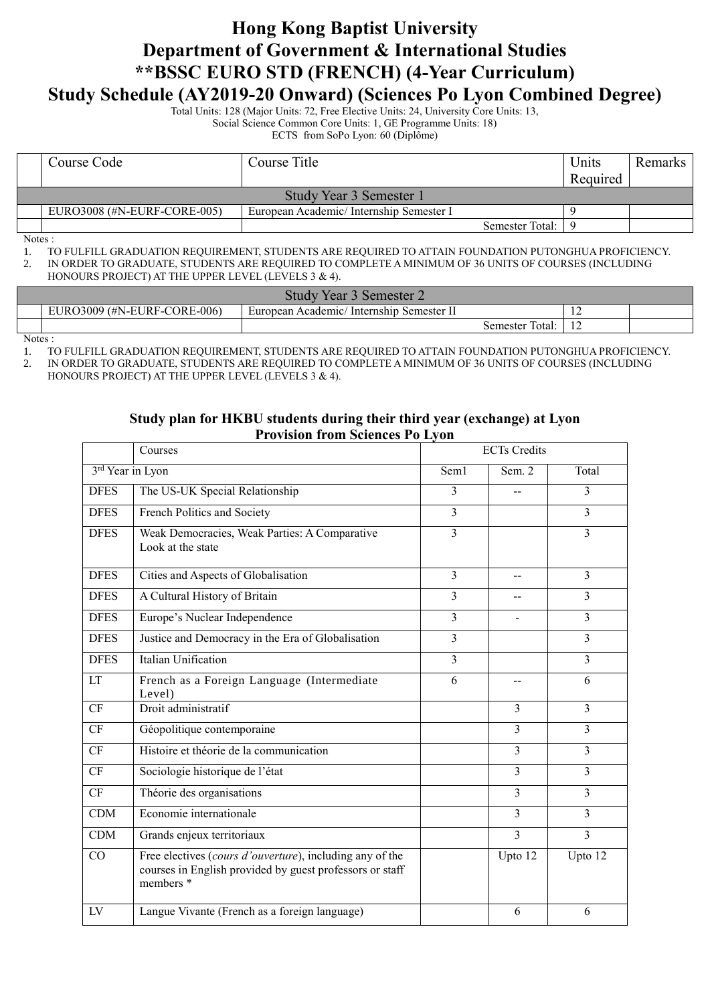## **Hong Kong Baptist University Department of Government & International Studies \*\*BSSC EURO STD (FRENCH) (4-Year Curriculum) Study Schedule (AY2019-20 Onward) (Sciences Po Lyon Combined Degree)**

Total Units: 128 (Major Units: 72, Free Elective Units: 24, University Core Units: 13, Social Science Common Core Units: 1, GE Programme Units: 18) ECTS from SoPo Lyon: 60 (Diplôme)

| Course Code                                                            | Course Title |                   | Units    | Remarks |  |  |
|------------------------------------------------------------------------|--------------|-------------------|----------|---------|--|--|
|                                                                        |              |                   | Required |         |  |  |
| Study Year 3 Semester 1                                                |              |                   |          |         |  |  |
| EURO3008 (#N-EURF-CORE-005)<br>European Academic/Internship Semester I |              |                   |          |         |  |  |
|                                                                        |              | Semester Total: I |          |         |  |  |

Notes :

1. TO FULFILL GRADUATION REQUIREMENT, STUDENTS ARE REQUIRED TO ATTAIN FOUNDATION PUTONGHUA PROFICIENCY. 2. IN ORDER TO GRADUATE, STUDENTS ARE REQUIRED TO COMPLETE A MINIMUM OF 36 UNITS OF COURSES (INCLUDING

HONOURS PROJECT) AT THE UPPER LEVEL (LEVELS 3 & 4).

| Study Year 3<br>3 Semester 2    |                                          |                 |                |  |  |
|---------------------------------|------------------------------------------|-----------------|----------------|--|--|
| EURO3009 (#N-EURF-CORE-006)     | European Academic/Internship Semester II |                 | $\overline{1}$ |  |  |
|                                 |                                          | Semester Total: | $\overline{1}$ |  |  |
| $N_{\alpha \tau \alpha \alpha}$ |                                          |                 |                |  |  |

Notes :

1. TO FULFILL GRADUATION REQUIREMENT, STUDENTS ARE REQUIRED TO ATTAIN FOUNDATION PUTONGHUA PROFICIENCY.

2. IN ORDER TO GRADUATE, STUDENTS ARE REQUIRED TO COMPLETE A MINIMUM OF 36 UNITS OF COURSES (INCLUDING HONOURS PROJECT) AT THE UPPER LEVEL (LEVELS 3 & 4).

## **Study plan for HKBU students during their third year (exchange) at Lyon Provision from Sciences Po Lyon**

|                  | Courses                                                                                                                           | <b>ECTs</b> Credits |                |                |
|------------------|-----------------------------------------------------------------------------------------------------------------------------------|---------------------|----------------|----------------|
| 3rd Year in Lyon |                                                                                                                                   | Sem1                | Sem. 2         | Total          |
| <b>DFES</b>      | The US-UK Special Relationship                                                                                                    | 3                   |                | 3              |
| <b>DFES</b>      | French Politics and Society                                                                                                       | $\overline{3}$      |                | $\overline{3}$ |
| <b>DFES</b>      | Weak Democracies, Weak Parties: A Comparative<br>Look at the state                                                                | $\overline{3}$      |                | $\overline{3}$ |
| <b>DFES</b>      | Cities and Aspects of Globalisation                                                                                               | $\overline{3}$      |                | $\overline{3}$ |
| <b>DFES</b>      | A Cultural History of Britain                                                                                                     | $\overline{3}$      |                | $\overline{3}$ |
| <b>DFES</b>      | Europe's Nuclear Independence                                                                                                     | 3                   |                | $\overline{3}$ |
| <b>DFES</b>      | Justice and Democracy in the Era of Globalisation                                                                                 | $\overline{3}$      |                | $\overline{3}$ |
| <b>DFES</b>      | Italian Unification                                                                                                               | 3                   |                | $\overline{3}$ |
| LT               | French as a Foreign Language (Intermediate<br>Level)                                                                              | 6                   |                | 6              |
| CF               | Droit administratif                                                                                                               |                     | $\mathbf{3}$   | $\overline{3}$ |
| CF               | Géopolitique contemporaine                                                                                                        |                     | 3              | $\overline{3}$ |
| CF               | Histoire et théorie de la communication                                                                                           |                     | $\overline{3}$ | $\overline{3}$ |
| CF               | Sociologie historique de l'état                                                                                                   |                     | $\overline{3}$ | $\overline{3}$ |
| CF               | Théorie des organisations                                                                                                         |                     | $\overline{3}$ | $\overline{3}$ |
| CDM              | Economie internationale                                                                                                           |                     | 3              | 3              |
| <b>CDM</b>       | Grands enjeux territoriaux                                                                                                        |                     | $\overline{3}$ | $\overline{3}$ |
| CO               | Free electives (cours d'ouverture), including any of the<br>courses in English provided by guest professors or staff<br>members * |                     | Upto 12        | Upto 12        |
| LV               | Langue Vivante (French as a foreign language)                                                                                     |                     | 6              | 6              |